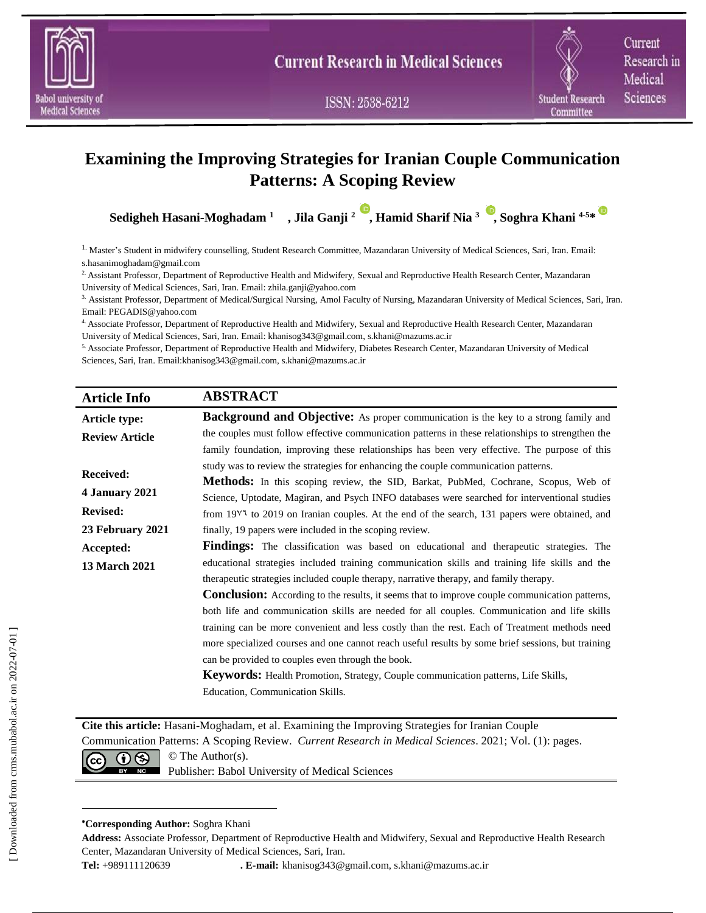

ISSN: 2538-6212

Current Research in Medical Sciences

# **Examining the Improving Strategies for Iranian Couple Communication Patterns: A Scoping Review**

**Sedigheh Hasani-Moghadam <sup>1</sup> , Jila Ganji <sup>2</sup> [,](https://orcid.org/0000-0003-2931-5113) Hamid Sharif Nia <sup>3</sup> [,](https://orcid.org/0000-0002-5570-3710) Soghra Khani 4-5\***

1. Master's Student in midwifery counselling, Student Research Committee, Mazandaran University of Medical Sciences, Sari, Iran. Email: s.hasanimoghadam@gmail.com

<sup>2</sup> Assistant Professor, Department of Reproductive Health and Midwifery, Sexual and Reproductive Health Research Center, Mazandaran University of Medical Sciences, Sari, Iran. Email: zhila.ganji@yahoo.com

3. Assistant Professor, Department of Medical/Surgical Nursing, Amol Faculty of Nursing, Mazandaran University of Medical Sciences, Sari, Iran. Email: PEGADIS@yahoo.com

4. Associate Professor, Department of Reproductive Health and Midwifery, Sexual and Reproductive Health Research Center, Mazandaran University of Medical Sciences, Sari, Iran. Email: khanisog343@gmail.com, s.khani@mazums.ac.ir

5. Associate Professor, Department of Reproductive Health and Midwifery, Diabetes Research Center, Mazandaran University of Medical Sciences, Sari, Iran. Email:khanisog343@gmail.com, s.khani@mazums.ac.ir

| <b>Article Info</b>   | <b>ABSTRACT</b>                                                                                                              |
|-----------------------|------------------------------------------------------------------------------------------------------------------------------|
| <b>Article type:</b>  | <b>Background and Objective:</b> As proper communication is the key to a strong family and                                   |
| <b>Review Article</b> | the couples must follow effective communication patterns in these relationships to strengthen the                            |
|                       | family foundation, improving these relationships has been very effective. The purpose of this                                |
| <b>Received:</b>      | study was to review the strategies for enhancing the couple communication patterns.                                          |
|                       | <b>Methods:</b> In this scoping review, the SID, Barkat, PubMed, Cochrane, Scopus, Web of                                    |
| 4 January 2021        | Science, Uptodate, Magiran, and Psych INFO databases were searched for interventional studies                                |
| <b>Revised:</b>       | from 19 <sup><math>\sqrt{3}</math></sup> to 2019 on Iranian couples. At the end of the search, 131 papers were obtained, and |
| 23 February 2021      | finally, 19 papers were included in the scoping review.                                                                      |
| Accepted:             | <b>Findings:</b> The classification was based on educational and therapeutic strategies. The                                 |
| <b>13 March 2021</b>  | educational strategies included training communication skills and training life skills and the                               |
|                       | therapeutic strategies included couple therapy, narrative therapy, and family therapy.                                       |
|                       | <b>Conclusion:</b> According to the results, it seems that to improve couple communication patterns,                         |
|                       | both life and communication skills are needed for all couples. Communication and life skills                                 |
|                       | training can be more convenient and less costly than the rest. Each of Treatment methods need                                |
|                       | more specialized courses and one cannot reach useful results by some brief sessions, but training                            |
|                       | can be provided to couples even through the book.                                                                            |
|                       | Keywords: Health Promotion, Strategy, Couple communication patterns, Life Skills,                                            |
|                       | Education, Communication Skills.                                                                                             |
|                       |                                                                                                                              |

**Cite this article:** Hasani-Moghadam, et al. Examining the Improving Strategies for Iranian Couple

Communication Patterns: A Scoping Review. *Current Research in Medical Sciences*. 2021; Vol. (1): pages.



**NG** Publisher: Babol University of Medical Sciences

#### **Corresponding Author:** Soghra Khani

**Address:** Associate Professor, Department of Reproductive Health and Midwifery, Sexual and Reproductive Health Research Center, Mazandaran University of Medical Sciences, Sari, Iran.

**Tel:** +989111120639 **. E-mail:** khanisog343@gmail.com, s.khani@mazums.ac.ir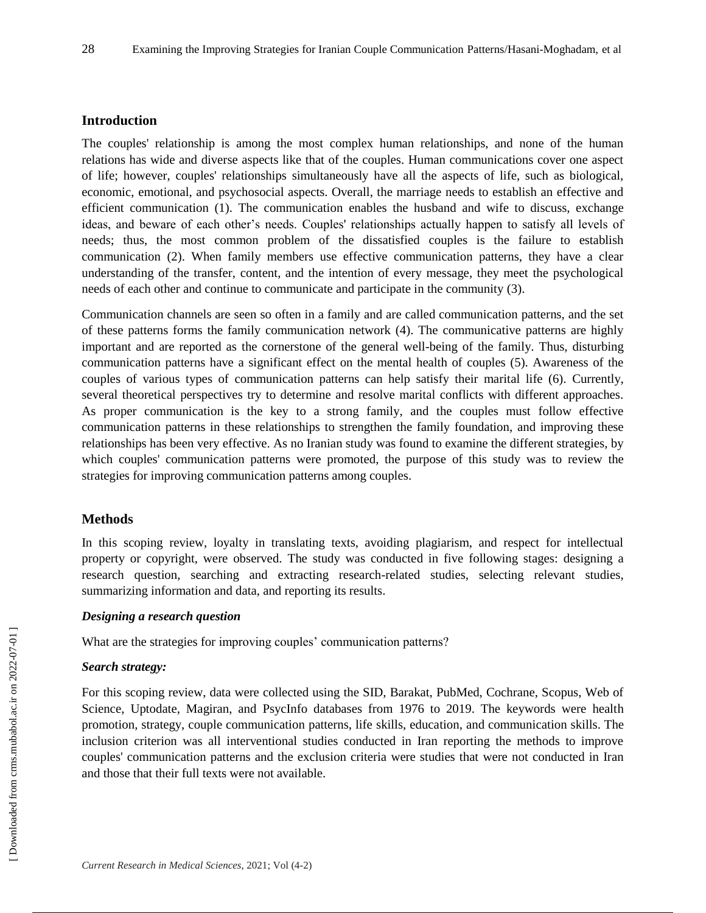## **Introduction**

The couples' relationship is among the most complex human relationships, and none of the human relations has wide and diverse aspects like that of the couples. Human communications cover one aspect of life; however, couples' relationships simultaneously have all the aspects of life, such as biological, economic, emotional, and psychosocial aspects. Overall, the marriage needs to establish an effective and efficient communication (1). The communication enables the husband and wife to discuss, exchange ideas, and beware of each other's needs. Couples' relationships actually happen to satisfy all levels of needs; thus, the most common problem of the dissatisfied couples is the failure to establish communication (2). When family members use effective communication patterns, they have a clear understanding of the transfer, content, and the intention of every message, they meet the psychological needs of each other and continue to communicate and participate in the community (3).

Communication channels are seen so often in a family and are called communication patterns, and the set of these patterns forms the family communication network (4). The communicative patterns are highly important and are reported as the cornerstone of the general well-being of the family. Thus, disturbing communication patterns have a significant effect on the mental health of couples (5). Awareness of the couples of various types of communication patterns can help satisfy their marital life (6). Currently, several theoretical perspectives try to determine and resolve marital conflicts with different approaches. As proper communication is the key to a strong family, and the couples must follow effective communication patterns in these relationships to strengthen the family foundation, and improving these relationships has been very effective. As no Iranian study was found to examine the different strategies, by which couples' communication patterns were promoted, the purpose of this study was to review the strategies for improving communication patterns among couples.

## **Methods**

In this scoping review, loyalty in translating texts, avoiding plagiarism, and respect for intellectual property or copyright, were observed. The study was conducted in five following stages: designing a research question, searching and extracting research-related studies, selecting relevant studies, summarizing information and data, and reporting its results.

## *Designing a research question*

What are the strategies for improving couples' communication patterns?

## *Search strategy:*

For this scoping review, data were collected using the SID, Barakat, PubMed, Cochrane, Scopus, Web of Science, Uptodate, Magiran, and PsycInfo databases from 1976 to 2019. The keywords were health promotion, strategy, couple communication patterns, life skills, education, and communication skills. The inclusion criterion was all interventional studies conducted in Iran reporting the methods to improve couples' communication patterns and the exclusion criteria were studies that were not conducted in Iran and those that their full texts were not available.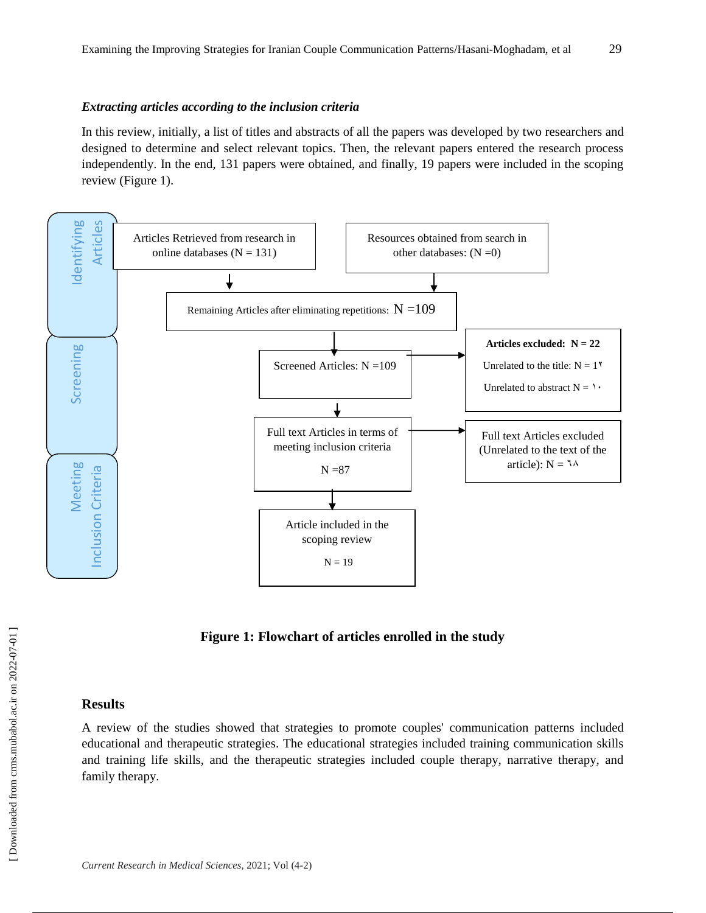#### *Extracting articles according to the inclusion criteria*

In this review, initially, a list of titles and abstracts of all the papers was developed by two researchers and designed to determine and select relevant topics. Then, the relevant papers entered the research process independently. In the end, 131 papers were obtained, and finally, 19 papers were included in the scoping review (Figure 1).



**Figure 1: Flowchart of articles enrolled in the study**

#### **Results**

A review of the studies showed that strategies to promote couples' communication patterns included educational and therapeutic strategies. The educational strategies included training communication skills and training life skills, and the therapeutic strategies included couple therapy, narrative therapy, and family therapy.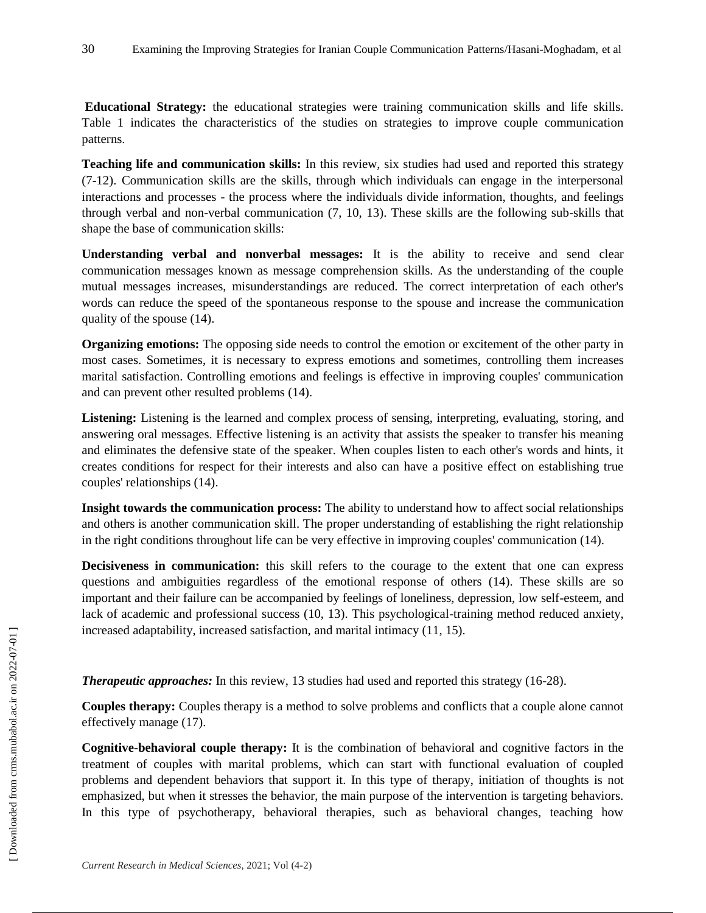**Educational Strategy:** the educational strategies were training communication skills and life skills. Table 1 indicates the characteristics of the studies on strategies to improve couple communication patterns.

**Teaching life and communication skills:** In this review, six studies had used and reported this strategy (7-12). Communication skills are the skills, through which individuals can engage in the interpersonal interactions and processes - the process where the individuals divide information, thoughts, and feelings through verbal and non-verbal communication (7, 10, 13). These skills are the following sub-skills that shape the base of communication skills:

**Understanding verbal and nonverbal messages:** It is the ability to receive and send clear communication messages known as message comprehension skills. As the understanding of the couple mutual messages increases, misunderstandings are reduced. The correct interpretation of each other's words can reduce the speed of the spontaneous response to the spouse and increase the communication quality of the spouse (14).

**Organizing emotions:** The opposing side needs to control the emotion or excitement of the other party in most cases. Sometimes, it is necessary to express emotions and sometimes, controlling them increases marital satisfaction. Controlling emotions and feelings is effective in improving couples' communication and can prevent other resulted problems (14).

Listening: Listening is the learned and complex process of sensing, interpreting, evaluating, storing, and answering oral messages. Effective listening is an activity that assists the speaker to transfer his meaning and eliminates the defensive state of the speaker. When couples listen to each other's words and hints, it creates conditions for respect for their interests and also can have a positive effect on establishing true couples' relationships (14).

**Insight towards the communication process:** The ability to understand how to affect social relationships and others is another communication skill. The proper understanding of establishing the right relationship in the right conditions throughout life can be very effective in improving couples' communication (14).

**Decisiveness in communication:** this skill refers to the courage to the extent that one can express questions and ambiguities regardless of the emotional response of others (14). These skills are so important and their failure can be accompanied by feelings of loneliness, depression, low self-esteem, and lack of academic and professional success (10, 13). This psychological-training method reduced anxiety, increased adaptability, increased satisfaction, and marital intimacy (11, 15).

*Therapeutic approaches:* In this review, 13 studies had used and reported this strategy (16-28).

**Couples therapy:** Couples therapy is a method to solve problems and conflicts that a couple alone cannot effectively manage (17).

**Cognitive-behavioral couple therapy:** It is the combination of behavioral and cognitive factors in the treatment of couples with marital problems, which can start with functional evaluation of coupled problems and dependent behaviors that support it. In this type of therapy, initiation of thoughts is not emphasized, but when it stresses the behavior, the main purpose of the intervention is targeting behaviors. In this type of psychotherapy, behavioral therapies, such as behavioral changes, teaching how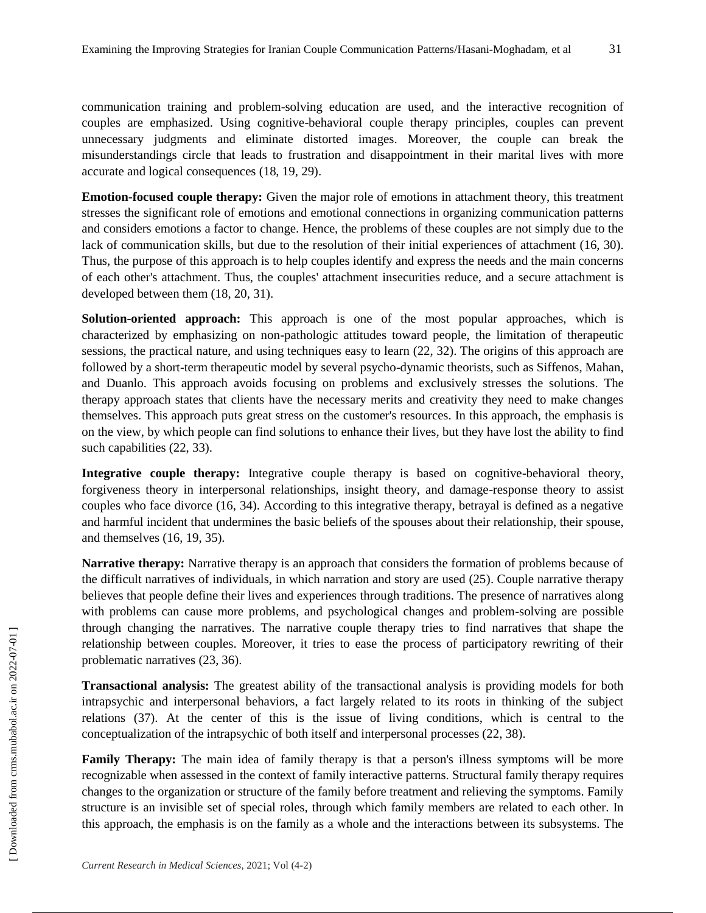communication training and problem-solving education are used, and the interactive recognition of couples are emphasized. Using cognitive-behavioral couple therapy principles, couples can prevent unnecessary judgments and eliminate distorted images. Moreover, the couple can break the misunderstandings circle that leads to frustration and disappointment in their marital lives with more accurate and logical consequences (18, 19, 29).

**Emotion-focused couple therapy:** Given the major role of emotions in attachment theory, this treatment stresses the significant role of emotions and emotional connections in organizing communication patterns and considers emotions a factor to change. Hence, the problems of these couples are not simply due to the lack of communication skills, but due to the resolution of their initial experiences of attachment (16, 30). Thus, the purpose of this approach is to help couples identify and express the needs and the main concerns of each other's attachment. Thus, the couples' attachment insecurities reduce, and a secure attachment is developed between them (18, 20, 31).

**Solution-oriented approach:** This approach is one of the most popular approaches, which is characterized by emphasizing on non-pathologic attitudes toward people, the limitation of therapeutic sessions, the practical nature, and using techniques easy to learn (22, 32). The origins of this approach are followed by a short-term therapeutic model by several psycho-dynamic theorists, such as Siffenos, Mahan, and Duanlo. This approach avoids focusing on problems and exclusively stresses the solutions. The therapy approach states that clients have the necessary merits and creativity they need to make changes themselves. This approach puts great stress on the customer's resources. In this approach, the emphasis is on the view, by which people can find solutions to enhance their lives, but they have lost the ability to find such capabilities (22, 33).

**Integrative couple therapy:** Integrative couple therapy is based on cognitive-behavioral theory, forgiveness theory in interpersonal relationships, insight theory, and damage-response theory to assist couples who face divorce (16, 34). According to this integrative therapy, betrayal is defined as a negative and harmful incident that undermines the basic beliefs of the spouses about their relationship, their spouse, and themselves (16, 19, 35).

**Narrative therapy:** Narrative therapy is an approach that considers the formation of problems because of the difficult narratives of individuals, in which narration and story are used (25). Couple narrative therapy believes that people define their lives and experiences through traditions. The presence of narratives along with problems can cause more problems, and psychological changes and problem-solving are possible through changing the narratives. The narrative couple therapy tries to find narratives that shape the relationship between couples. Moreover, it tries to ease the process of participatory rewriting of their problematic narratives (23, 36).

**Transactional analysis:** The greatest ability of the transactional analysis is providing models for both intrapsychic and interpersonal behaviors, a fact largely related to its roots in thinking of the subject relations (37). At the center of this is the issue of living conditions, which is central to the conceptualization of the intrapsychic of both itself and interpersonal processes (22, 38).

**Family Therapy:** The main idea of family therapy is that a person's illness symptoms will be more recognizable when assessed in the context of family interactive patterns. Structural family therapy requires changes to the organization or structure of the family before treatment and relieving the symptoms. Family structure is an invisible set of special roles, through which family members are related to each other. In this approach, the emphasis is on the family as a whole and the interactions between its subsystems. The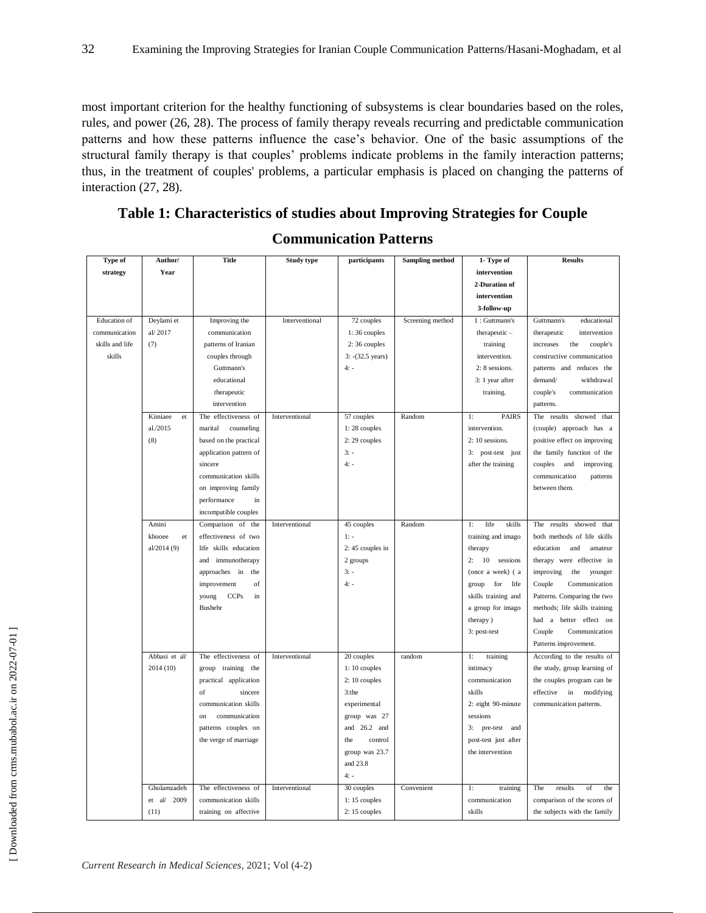most important criterion for the healthy functioning of subsystems is clear boundaries based on the roles, rules, and power (26, 28). The process of family therapy reveals recurring and predictable communication patterns and how these patterns influence the case's behavior. One of the basic assumptions of the structural family therapy is that couples' problems indicate problems in the family interaction patterns; thus, in the treatment of couples' problems, a particular emphasis is placed on changing the patterns of interaction (27, 28).

# **Table 1: Characteristics of studies about Improving Strategies for Couple**

# **Communication Patterns**

| Type of             | Author/       | <b>Title</b>               | <b>Study type</b> | participants      | <b>Sampling method</b> | 1- Type of           | <b>Results</b>                |
|---------------------|---------------|----------------------------|-------------------|-------------------|------------------------|----------------------|-------------------------------|
| strategy            | Year          |                            |                   |                   |                        | intervention         |                               |
|                     |               |                            |                   |                   |                        | 2-Duration of        |                               |
|                     |               |                            |                   |                   |                        | intervention         |                               |
|                     |               |                            |                   |                   |                        | 3-follow-up          |                               |
| <b>Education</b> of | Deylami et    | Improving the              | Interventional    | 72 couples        | Screening method       | 1: Guttmann's        | Guttmann's<br>educational     |
| communication       | al/2017       | communication              |                   | 1:36 couples      |                        | therapeutic -        | intervention                  |
| skills and life     | (7)           |                            |                   | $2:36$ couples    |                        |                      | therapeutic                   |
|                     |               | patterns of Iranian        |                   |                   |                        | training             | increases<br>the<br>couple's  |
| skills              |               | couples through            |                   | 3: - (32.5 years) |                        | intervention.        | constructive communication    |
|                     |               | Guttmann's                 |                   | $4: -$            |                        | 2: 8 sessions.       | patterns and reduces the      |
|                     |               | educational                |                   |                   |                        | 3: 1 year after      | demand/<br>withdrawal         |
|                     |               | therapeutic                |                   |                   |                        | training.            | couple's<br>communication     |
|                     |               | intervention               |                   |                   |                        |                      | patterns.                     |
|                     | Kimiaee<br>et | The effectiveness of       | Interventional    | 57 couples        | Random                 | <b>PAIRS</b><br>1:   | The results<br>showed that    |
|                     | al./2015      | marital<br>counseling      |                   | 1:28 couples      |                        | intervention.        | (couple) approach has a       |
|                     | (8)           | based on the practical     |                   | 2:29 couples      |                        | 2: 10 sessions.      | positive effect on improving  |
|                     |               | application pattern of     |                   | $3: -$            |                        | 3: post-test just    | the family function of the    |
|                     |               | sincere                    |                   | $4: -$            |                        | after the training   | couples<br>and<br>improving   |
|                     |               | communication skills       |                   |                   |                        |                      | communication<br>patterns     |
|                     |               | on improving family        |                   |                   |                        |                      | between them.                 |
|                     |               | performance<br>in          |                   |                   |                        |                      |                               |
|                     |               | incompatible couples       |                   |                   |                        |                      |                               |
|                     | Amini         | Comparison of the          | Interventional    | 45 couples        | Random                 | life<br>skills<br>1: | results<br>showed that<br>The |
|                     | khooee<br>et  | effectiveness of two       |                   | $1: -$            |                        | training and imago   | both methods of life skills   |
|                     | al/2014 (9)   | life skills education      |                   | $2:45$ couples in |                        | therapy              | education<br>and<br>amateur   |
|                     |               | and immunotherapy          |                   | 2 groups          |                        | 10<br>sessions<br>2: | therapy were effective in     |
|                     |               | approaches in<br>the       |                   | $3: -$            |                        | (once a week) (a     | the<br>improving<br>younger   |
|                     |               | improvement<br>of          |                   | $4: -$            |                        | group for<br>life    | Couple<br>Communication       |
|                     |               | <b>CCPs</b><br>young<br>in |                   |                   |                        | skills training and  | Patterns. Comparing the two   |
|                     |               | <b>Bushehr</b>             |                   |                   |                        | a group for imago    | methods; life skills training |
|                     |               |                            |                   |                   |                        | therapy)             | had a better effect on        |
|                     |               |                            |                   |                   |                        | 3: post-test         | Couple<br>Communication       |
|                     |               |                            |                   |                   |                        |                      | Patterns improvement.         |
|                     | Abbasi et al/ | The effectiveness of       | Interventional    | 20 couples        | random                 | training<br>1:       | According to the results of   |
|                     | 2014 (10)     | group training the         |                   | $1:10$ couples    |                        | intimacy             | the study, group learning of  |
|                     |               | practical application      |                   | 2:10 couples      |                        | communication        | the couples program can be    |
|                     |               | sincere<br>of              |                   | 3:the             |                        | skills               | in<br>modifying<br>effective  |
|                     |               | communication skills       |                   | experimental      |                        | 2: eight 90-minute   | communication patterns.       |
|                     |               | communication<br>on        |                   | group was 27      |                        | sessions             |                               |
|                     |               | patterns couples on        |                   | and $26.2$ and    |                        | 3: pre-test and      |                               |
|                     |               | the verge of marriage      |                   | the<br>control    |                        | post-test just after |                               |
|                     |               |                            |                   | group was 23.7    |                        | the intervention     |                               |
|                     |               |                            |                   | and 23.8          |                        |                      |                               |
|                     |               |                            |                   | $4: -$            |                        |                      |                               |
|                     | Gholamzadeh   | The effectiveness of       | Interventional    | 30 couples        | Convenient             | 1:<br>training       | The<br>results<br>of<br>the   |
|                     | et al/ 2009   | communication skills       |                   | $1:15$ couples    |                        | communication        | comparison of the scores of   |
|                     | (11)          | training on affective      |                   | $2:15$ couples    |                        | skills               | the subjects with the family  |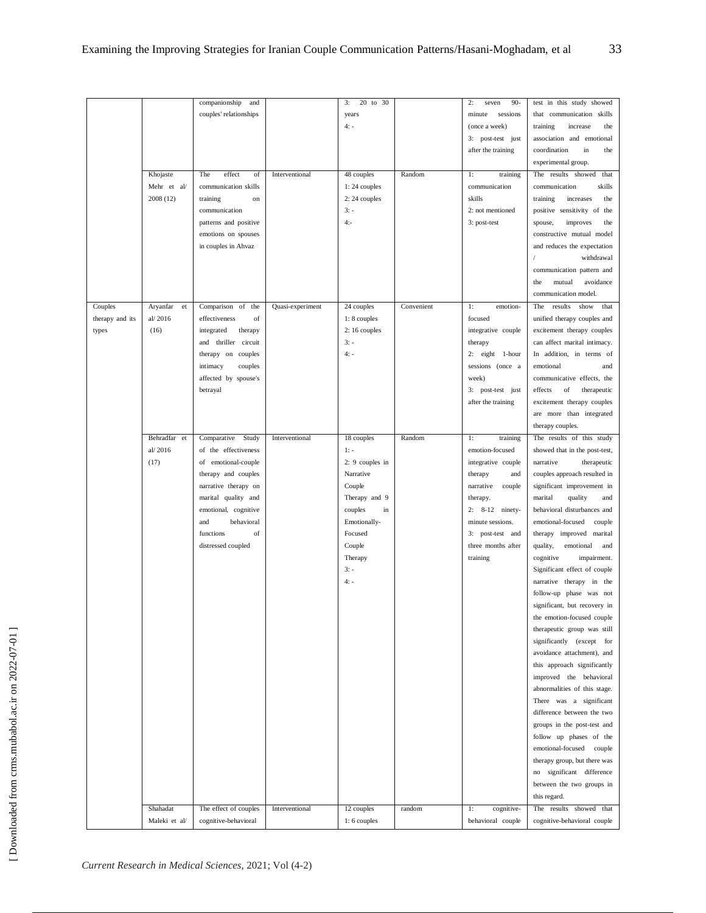|                 |                 | companionship<br>and   |                  | 20 to 30<br>3:    |            | 2:<br>$90 -$<br>seven | in this study showed<br>test   |
|-----------------|-----------------|------------------------|------------------|-------------------|------------|-----------------------|--------------------------------|
|                 |                 | couples' relationships |                  | years             |            | sessions<br>minute    | that communication skills      |
|                 |                 |                        |                  |                   |            |                       |                                |
|                 |                 |                        |                  | $4: -$            |            | (once a week)         | training<br>the<br>increase    |
|                 |                 |                        |                  |                   |            | 3: post-test just     | association and emotional      |
|                 |                 |                        |                  |                   |            | after the training    | coordination<br>in<br>the      |
|                 |                 |                        |                  |                   |            |                       | experimental group.            |
|                 | Khojaste        | The<br>effect<br>of    | Interventional   | 48 couples        | Random     | 1:<br>training        | The results showed that        |
|                 | Mehr et al/     | communication skills   |                  | 1:24 couples      |            | communication         | communication<br>skills        |
|                 | 2008 (12)       | training<br>on         |                  | $2:24$ couples    |            | skills                | training<br>increases<br>the   |
|                 |                 | communication          |                  | $3: -$            |            | 2: not mentioned      | positive sensitivity of the    |
|                 |                 |                        |                  |                   |            |                       |                                |
|                 |                 | patterns and positive  |                  | $4: -$            |            | 3: post-test          | spouse,<br>improves<br>the     |
|                 |                 | emotions on spouses    |                  |                   |            |                       | constructive mutual model      |
|                 |                 | in couples in Ahvaz    |                  |                   |            |                       | and reduces the expectation    |
|                 |                 |                        |                  |                   |            |                       | withdrawal                     |
|                 |                 |                        |                  |                   |            |                       | communication pattern and      |
|                 |                 |                        |                  |                   |            |                       | mutual<br>avoidance<br>the     |
|                 |                 |                        |                  |                   |            |                       | communication model.           |
| Couples         | Aryanfar<br>et  | Comparison of<br>the   | Quasi-experiment | 24 couples        | Convenient | 1:<br>emotion-        | The<br>results<br>show<br>that |
| therapy and its | al/2016         | effectiveness<br>of    |                  | 1:8 couples       |            | focused               | unified therapy couples and    |
|                 | (16)            | integrated<br>therapy  |                  | 2:16 couples      |            | integrative couple    | excitement therapy couples     |
| types           |                 |                        |                  |                   |            |                       |                                |
|                 |                 | and thriller circuit   |                  | $3: -$            |            | therapy               | can affect marital intimacy.   |
|                 |                 | therapy on couples     |                  | $4: -$            |            | 2: eight 1-hour       | In addition, in terms of       |
|                 |                 | couples<br>intimacy    |                  |                   |            | sessions (once a      | emotional<br>and               |
|                 |                 | affected by spouse's   |                  |                   |            | week)                 | communicative effects, the     |
|                 |                 | betrayal               |                  |                   |            | 3: post-test just     | effects<br>of<br>therapeutic   |
|                 |                 |                        |                  |                   |            | after the training    | excitement therapy couples     |
|                 |                 |                        |                  |                   |            |                       | are more than integrated       |
|                 |                 |                        |                  |                   |            |                       | therapy couples.               |
|                 | Behradfar<br>et | Comparative<br>Study   | Interventional   | 18 couples        | Random     | 1:<br>training        | The results of this study      |
|                 | al/2016         | of the effectiveness   |                  | $1: -$            |            | emotion-focused       | showed that in the post-test,  |
|                 | (17)            | of emotional-couple    |                  | $2: 9$ couples in |            | integrative couple    | narrative<br>therapeutic       |
|                 |                 |                        |                  |                   |            |                       |                                |
|                 |                 | therapy and couples    |                  | Narrative         |            | therapy<br>and        | couples approach resulted in   |
|                 |                 | narrative therapy on   |                  | Couple            |            | narrative<br>couple   | significant improvement in     |
|                 |                 | marital quality and    |                  | Therapy and 9     |            | therapy.              | marital<br>quality<br>and      |
|                 |                 | emotional, cognitive   |                  | couples<br>in     |            | 2: 8-12 ninety-       | behavioral disturbances and    |
|                 |                 | behavioral<br>and      |                  | Emotionally-      |            | minute sessions.      | emotional-focused<br>couple    |
|                 |                 | functions<br>of        |                  | Focused           |            | 3: post-test and      | therapy improved marital       |
|                 |                 | distressed coupled     |                  | Couple            |            | three months after    | quality,<br>emotional<br>and   |
|                 |                 |                        |                  | Therapy           |            | training              | cognitive<br>impairment.       |
|                 |                 |                        |                  | $3: -$            |            |                       | Significant effect of couple   |
|                 |                 |                        |                  | $4: -$            |            |                       | narrative therapy in the       |
|                 |                 |                        |                  |                   |            |                       | follow-up phase was not        |
|                 |                 |                        |                  |                   |            |                       |                                |
|                 |                 |                        |                  |                   |            |                       | significant, but recovery in   |
|                 |                 |                        |                  |                   |            |                       | the emotion-focused couple     |
|                 |                 |                        |                  |                   |            |                       | therapeutic group was still    |
|                 |                 |                        |                  |                   |            |                       | significantly (except for      |
|                 |                 |                        |                  |                   |            |                       | avoidance attachment), and     |
|                 |                 |                        |                  |                   |            |                       | this approach significantly    |
|                 |                 |                        |                  |                   |            |                       | improved the behavioral        |
|                 |                 |                        |                  |                   |            |                       | abnormalities of this stage.   |
|                 |                 |                        |                  |                   |            |                       | There was a significant        |
|                 |                 |                        |                  |                   |            |                       | difference between the two     |
|                 |                 |                        |                  |                   |            |                       | groups in the post-test and    |
|                 |                 |                        |                  |                   |            |                       | follow up phases of the        |
|                 |                 |                        |                  |                   |            |                       | emotional-focused couple       |
|                 |                 |                        |                  |                   |            |                       | therapy group, but there was   |
|                 |                 |                        |                  |                   |            |                       |                                |
|                 |                 |                        |                  |                   |            |                       | significant difference<br>no   |
|                 |                 |                        |                  |                   |            |                       | between the two groups in      |
|                 |                 |                        |                  |                   |            |                       | this regard.                   |
|                 |                 |                        |                  |                   |            |                       |                                |
|                 | Shahadat        | The effect of couples  | Interventional   | 12 couples        | random     | cognitive-<br>1:      | The results showed that        |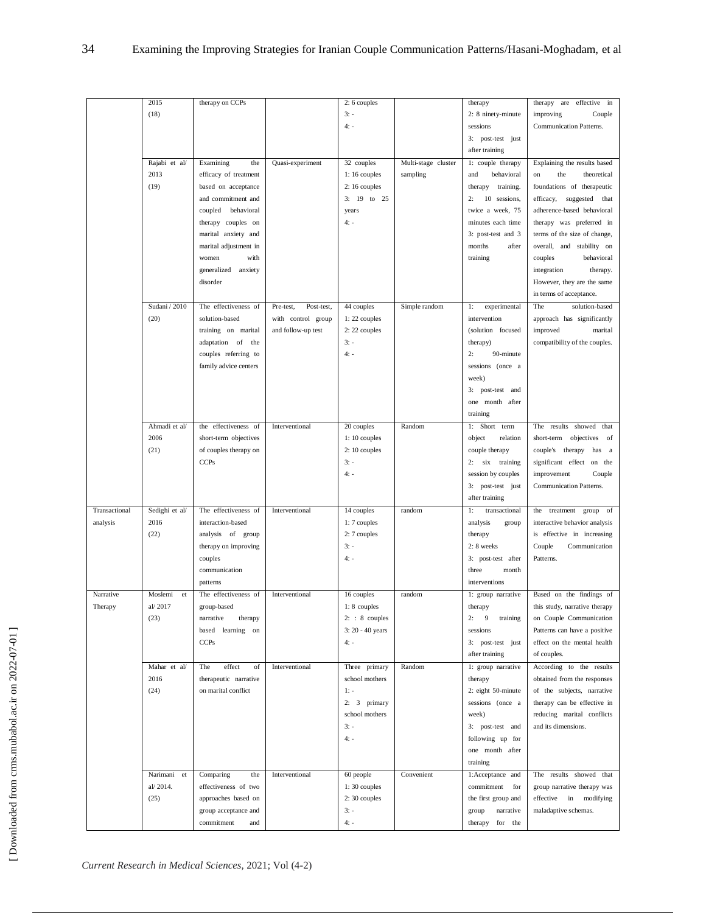|               | 2015           | therapy on CCPs       |                         | 2: 6 couples     |                     | therapy              | therapy are<br>effective in      |
|---------------|----------------|-----------------------|-------------------------|------------------|---------------------|----------------------|----------------------------------|
|               |                |                       |                         |                  |                     |                      |                                  |
|               | (18)           |                       |                         | $3: -$           |                     | 2: 8 ninety-minute   | improving<br>Couple              |
|               |                |                       |                         | $4: -$           |                     | sessions             | Communication Patterns.          |
|               |                |                       |                         |                  |                     | 3: post-test just    |                                  |
|               |                |                       |                         |                  |                     | after training       |                                  |
|               | Rajabi et al/  | Examining<br>the      | Quasi-experiment        | 32 couples       | Multi-stage cluster | 1: couple therapy    | Explaining the results based     |
|               | 2013           |                       |                         |                  |                     |                      | theoretical                      |
|               |                | efficacy of treatment |                         | 1:16 couples     | sampling            | behavioral<br>and    | the<br>on                        |
|               | (19)           | based on acceptance   |                         | $2:16$ couples   |                     | training.<br>therapy | foundations of therapeutic       |
|               |                | and commitment and    |                         | 3: 19 to 25      |                     | 10 sessions,<br>2:   | efficacy, suggested that         |
|               |                | behavioral<br>coupled |                         | years            |                     | twice a week, 75     | adherence-based behavioral       |
|               |                | therapy couples on    |                         | $4: -$           |                     | minutes each time    | therapy was preferred in         |
|               |                | marital anxiety and   |                         |                  |                     | 3: post-test and 3   | terms of the size of change,     |
|               |                | marital adjustment in |                         |                  |                     | months<br>after      | overall, and stability on        |
|               |                | with<br>women         |                         |                  |                     | training             | couples<br>behavioral            |
|               |                | generalized anxiety   |                         |                  |                     |                      | integration<br>therapy.          |
|               |                |                       |                         |                  |                     |                      |                                  |
|               |                | disorder              |                         |                  |                     |                      | However, they are the same       |
|               |                |                       |                         |                  |                     |                      | in terms of acceptance.          |
|               | Sudani / 2010  | The effectiveness of  | Pre-test,<br>Post-test, | 44 couples       | Simple random       | 1:<br>experimental   | The<br>solution-based            |
|               | (20)           | solution-based        | with control group      | 1:22 couples     |                     | intervention         | approach has significantly       |
|               |                | training on marital   | and follow-up test      | 2:22 couples     |                     | (solution focused    | improved<br>marital              |
|               |                | adaptation of the     |                         | $3: -$           |                     | therapy)             | compatibility of the couples.    |
|               |                |                       |                         | $4: -$           |                     | 2:<br>90-minute      |                                  |
|               |                | couples referring to  |                         |                  |                     |                      |                                  |
|               |                | family advice centers |                         |                  |                     | sessions (once a     |                                  |
|               |                |                       |                         |                  |                     | week)                |                                  |
|               |                |                       |                         |                  |                     | 3: post-test and     |                                  |
|               |                |                       |                         |                  |                     | one month after      |                                  |
|               |                |                       |                         |                  |                     | training             |                                  |
|               | Ahmadi et al/  | the effectiveness of  | Interventional          | 20 couples       | Random              | 1: Short term        | results<br>The<br>showed<br>that |
|               | 2006           | short-term objectives |                         | 1:10 couples     |                     | object<br>relation   | short-term<br>objectives<br>of   |
|               | (21)           |                       |                         | $2:10$ couples   |                     | couple therapy       | couple's therapy<br>has a        |
|               |                | of couples therapy on |                         |                  |                     |                      |                                  |
|               |                | <b>CCPs</b>           |                         | $3: -$           |                     | 2: six training      | significant effect on the        |
|               |                |                       |                         | $4: -$           |                     | session by couples   | improvement<br>Couple            |
|               |                |                       |                         |                  |                     | 3: post-test just    | Communication Patterns.          |
|               |                |                       |                         |                  |                     | after training       |                                  |
| Transactional | Sedighi et al/ | The effectiveness of  | Interventional          | 14 couples       | random              | 1:<br>transactional  | treatment<br>the<br>group of     |
| analysis      | 2016           | interaction-based     |                         | 1:7 couples      |                     | analysis<br>group    | interactive behavior analysis    |
|               | (22)           | analysis of group     |                         | 2:7 couples      |                     | therapy              | is effective in increasing       |
|               |                | therapy on improving  |                         | $3: -$           |                     | 2: 8 weeks           | Couple<br>Communication          |
|               |                |                       |                         |                  |                     |                      |                                  |
|               |                | couples               |                         | $4: -$           |                     | 3: post-test after   | Patterns.                        |
|               |                | communication         |                         |                  |                     | three<br>month       |                                  |
|               |                | patterns              |                         |                  |                     | interventions        |                                  |
| Narrative     | Moslemi<br>et  | The effectiveness of  | Interventional          | 16 couples       | random              | 1: group narrative   | Based on the findings of         |
| Therapy       | al/2017        | group-based           |                         | $1:8$ couples    |                     | therapy              | this study, narrative therapy    |
|               | (23)           | narrative<br>therapy  |                         | $2: 8$ couples   |                     | 2:<br>9<br>training  | on Couple Communication          |
|               |                | based<br>learning on  |                         | 3: 20 - 40 years |                     | sessions             | Patterns can have a positive     |
|               |                | <b>CCPs</b>           |                         | $4: -$           |                     | 3: post-test just    | effect on the mental health      |
|               |                |                       |                         |                  |                     |                      |                                  |
|               |                |                       |                         |                  |                     | after training       | of couples.                      |
|               | Mahar et al/   | effect<br>The<br>of   | Interventional          | Three primary    | Random              | 1: group narrative   | According to the results         |
|               | 2016           | therapeutic narrative |                         | school mothers   |                     | therapy              | obtained from the responses      |
|               | (24)           | on marital conflict   |                         | $1: -$           |                     | 2: eight 50-minute   | of the subjects, narrative       |
|               |                |                       |                         | 2: $3$ primary   |                     | sessions (once a     | therapy can be effective in      |
|               |                |                       |                         | school mothers   |                     | week)                | reducing marital conflicts       |
|               |                |                       |                         | $3: -$           |                     | 3: post-test and     | and its dimensions.              |
|               |                |                       |                         | $4: -$           |                     |                      |                                  |
|               |                |                       |                         |                  |                     | following up for     |                                  |
|               |                |                       |                         |                  |                     | one month after      |                                  |
|               |                |                       |                         |                  |                     | training             |                                  |
|               | Narimani<br>et | Comparing<br>the      | Interventional          | 60 people        | Convenient          | 1:Acceptance and     | The results showed that          |
|               | al/2014.       | effectiveness of two  |                         | $1:30$ couples   |                     | commitment<br>for    | group narrative therapy was      |
|               | (25)           | approaches based on   |                         | $2:30$ couples   |                     | the first group and  | effective in modifying           |
|               |                | group acceptance and  |                         | $3: -$           |                     | narrative<br>group   | maladaptive schemas.             |
|               |                | commitment<br>and     |                         | $4: -$           |                     | for the<br>therapy   |                                  |
|               |                |                       |                         |                  |                     |                      |                                  |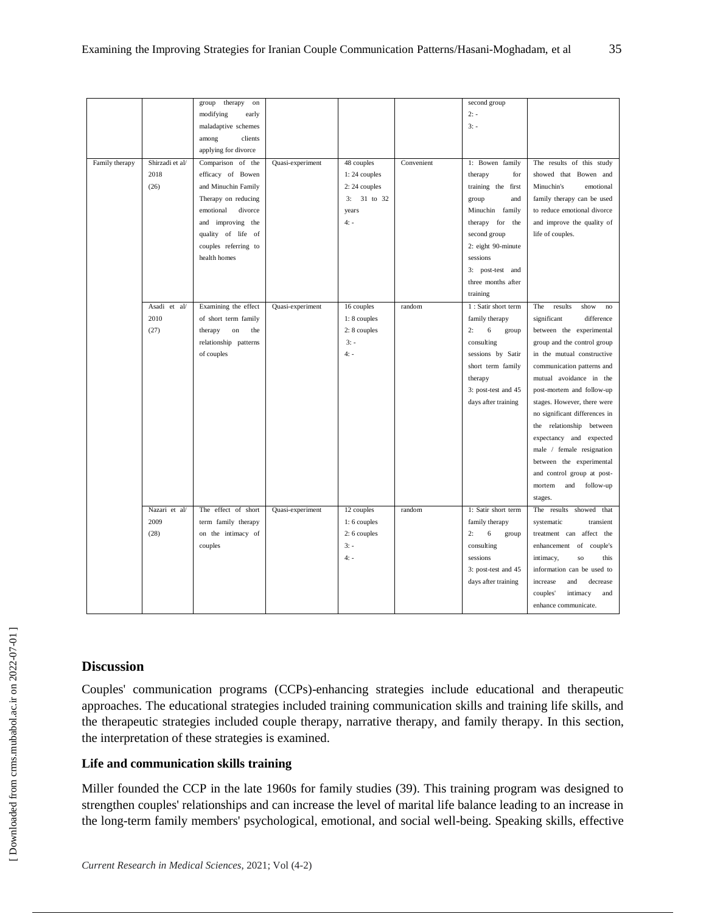|                |                 | therapy<br>group<br>on        |                  |                |            | second group              |                                  |
|----------------|-----------------|-------------------------------|------------------|----------------|------------|---------------------------|----------------------------------|
|                |                 | modifying<br>early            |                  |                |            | $2: -$                    |                                  |
|                |                 | maladaptive schemes           |                  |                |            | $3: -$                    |                                  |
|                |                 | clients<br>among              |                  |                |            |                           |                                  |
|                |                 | applying for divorce          |                  |                |            |                           |                                  |
| Family therapy | Shirzadi et al/ | Comparison of the             | Quasi-experiment | 48 couples     | Convenient | 1: Bowen family           | The results of this study        |
|                | 2018            | efficacy of Bowen             |                  | $1:24$ couples |            | therapy<br>for            | showed that Bowen and            |
|                | (26)            | and Minuchin Family           |                  | 2:24 couples   |            | training the first        | Minuchin's<br>emotional          |
|                |                 | Therapy on reducing           |                  | 3: 31 to 32    |            | group<br>and              | family therapy can be used       |
|                |                 | emotional<br>divorce          |                  | years          |            | Minuchin family           | to reduce emotional divorce      |
|                |                 | and improving the             |                  | $4: -$         |            | therapy for the           | and improve the quality of       |
|                |                 | quality of life of            |                  |                |            | second group              | life of couples.                 |
|                |                 | couples referring to          |                  |                |            | 2: eight 90-minute        |                                  |
|                |                 | health homes                  |                  |                |            | sessions                  |                                  |
|                |                 |                               |                  |                |            | 3: post-test and          |                                  |
|                |                 |                               |                  |                |            | three months after        |                                  |
|                |                 |                               |                  |                |            | training                  |                                  |
|                | Asadi et al/    | Examining the effect          | Quasi-experiment | 16 couples     | random     | 1 : Satir short term      | The<br>results<br>show<br>no     |
|                | 2010            | of short term family          |                  | 1:8 couples    |            | family therapy            | significant<br>difference        |
|                | (27)            | $^{\rm on}$<br>the<br>therapy |                  | 2: 8 couples   |            | $\sqrt{6}$<br>2:<br>group | between the experimental         |
|                |                 | relationship patterns         |                  | $3: -$         |            | consulting                | group and the control group      |
|                |                 | of couples                    |                  | $4: -$         |            | sessions by Satir         | in the mutual constructive       |
|                |                 |                               |                  |                |            | short term family         | communication patterns and       |
|                |                 |                               |                  |                |            | therapy                   | mutual avoidance in the          |
|                |                 |                               |                  |                |            | 3: post-test and 45       | post-mortem and follow-up        |
|                |                 |                               |                  |                |            | days after training       | stages. However, there were      |
|                |                 |                               |                  |                |            |                           | no significant differences in    |
|                |                 |                               |                  |                |            |                           | the relationship between         |
|                |                 |                               |                  |                |            |                           | expectancy and expected          |
|                |                 |                               |                  |                |            |                           | male / female resignation        |
|                |                 |                               |                  |                |            |                           | between the experimental         |
|                |                 |                               |                  |                |            |                           | and control group at post-       |
|                |                 |                               |                  |                |            |                           | mortem<br>and<br>follow-up       |
|                |                 |                               |                  |                |            |                           | stages.                          |
|                | Nazari et al/   | The effect of short           | Quasi-experiment | 12 couples     | random     | 1: Satir short term       | The results showed<br>that       |
|                | 2009            | term family therapy           |                  | 1:6 couples    |            | family therapy            | systematic<br>transient          |
|                | (28)            | on the intimacy of            |                  | 2: 6 couples   |            | 6<br>2:<br>group          | treatment can affect the         |
|                |                 | couples                       |                  | $3: -$         |            | consulting                | enhancement of couple's          |
|                |                 |                               |                  | $4: -$         |            | sessions                  | this<br>intimacy,<br>$_{\rm SO}$ |
|                |                 |                               |                  |                |            | 3: post-test and 45       | information can be used to       |
|                |                 |                               |                  |                |            | days after training       | increase<br>and<br>decrease      |
|                |                 |                               |                  |                |            |                           | couples'<br>intimacy<br>and      |
|                |                 |                               |                  |                |            |                           | enhance communicate.             |
|                |                 |                               |                  |                |            |                           |                                  |

## **Discussion**

Couples' communication programs (CCPs)-enhancing strategies include educational and therapeutic approaches. The educational strategies included training communication skills and training life skills, and the therapeutic strategies included couple therapy, narrative therapy, and family therapy. In this section, the interpretation of these strategies is examined.

## **Life and communication skills training**

Miller founded the CCP in the late 1960s for family studies (39). This training program was designed to strengthen couples' relationships and can increase the level of marital life balance leading to an increase in the long-term family members' psychological, emotional, and social well-being. Speaking skills, effective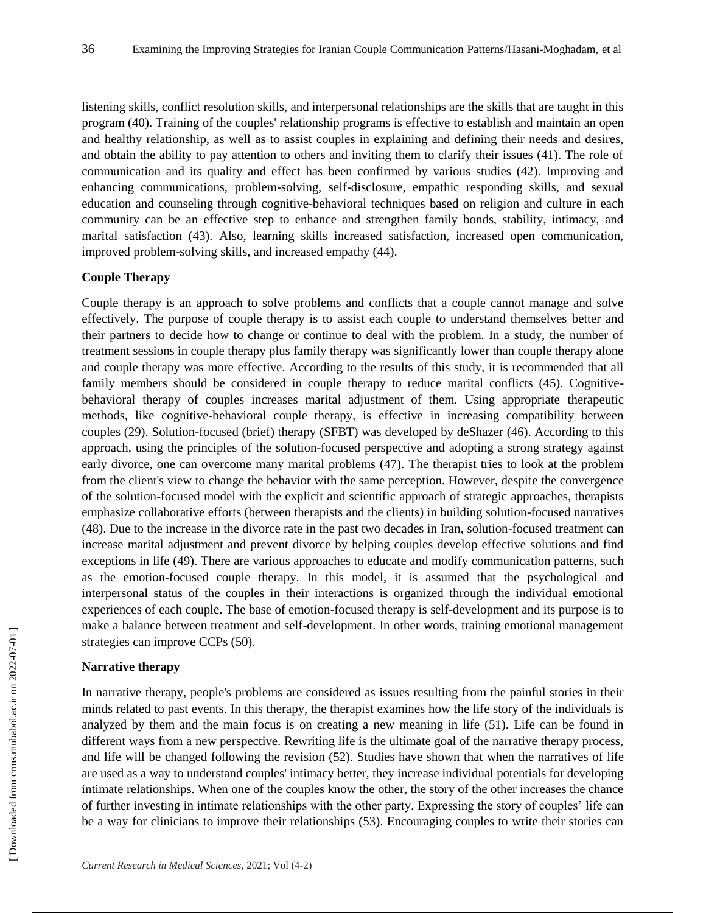listening skills, conflict resolution skills, and interpersonal relationships are the skills that are taught in this program (40). Training of the couples' relationship programs is effective to establish and maintain an open and healthy relationship, as well as to assist couples in explaining and defining their needs and desires, and obtain the ability to pay attention to others and inviting them to clarify their issues (41). The role of communication and its quality and effect has been confirmed by various studies (42). Improving and enhancing communications, problem-solving, self-disclosure, empathic responding skills, and sexual education and counseling through cognitive-behavioral techniques based on religion and culture in each community can be an effective step to enhance and strengthen family bonds, stability, intimacy, and marital satisfaction (43). Also, learning skills increased satisfaction, increased open communication, improved problem-solving skills, and increased empathy (44).

#### **Couple Therapy**

Couple therapy is an approach to solve problems and conflicts that a couple cannot manage and solve effectively. The purpose of couple therapy is to assist each couple to understand themselves better and their partners to decide how to change or continue to deal with the problem. In a study, the number of treatment sessions in couple therapy plus family therapy was significantly lower than couple therapy alone and couple therapy was more effective. According to the results of this study, it is recommended that all family members should be considered in couple therapy to reduce marital conflicts (45). Cognitivebehavioral therapy of couples increases marital adjustment of them. Using appropriate therapeutic methods, like cognitive-behavioral couple therapy, is effective in increasing compatibility between couples (29). Solution-focused (brief) therapy (SFBT) was developed by deShazer (46). According to this approach, using the principles of the solution-focused perspective and adopting a strong strategy against early divorce, one can overcome many marital problems (47). The therapist tries to look at the problem from the client's view to change the behavior with the same perception. However, despite the convergence of the solution-focused model with the explicit and scientific approach of strategic approaches, therapists emphasize collaborative efforts (between therapists and the clients) in building solution-focused narratives (48). Due to the increase in the divorce rate in the past two decades in Iran, solution-focused treatment can increase marital adjustment and prevent divorce by helping couples develop effective solutions and find exceptions in life (49). There are various approaches to educate and modify communication patterns, such as the emotion-focused couple therapy. In this model, it is assumed that the psychological and interpersonal status of the couples in their interactions is organized through the individual emotional experiences of each couple. The base of emotion-focused therapy is self-development and its purpose is to make a balance between treatment and self-development. In other words, training emotional management strategies can improve CCPs (50).

## **Narrative therapy**

In narrative therapy, people's problems are considered as issues resulting from the painful stories in their minds related to past events. In this therapy, the therapist examines how the life story of the individuals is analyzed by them and the main focus is on creating a new meaning in life (51). Life can be found in different ways from a new perspective. Rewriting life is the ultimate goal of the narrative therapy process, and life will be changed following the revision (52). Studies have shown that when the narratives of life are used as a way to understand couples' intimacy better, they increase individual potentials for developing intimate relationships. When one of the couples know the other, the story of the other increases the chance of further investing in intimate relationships with the other party. Expressing the story of couples' life can be a way for clinicians to improve their relationships (53). Encouraging couples to write their stories can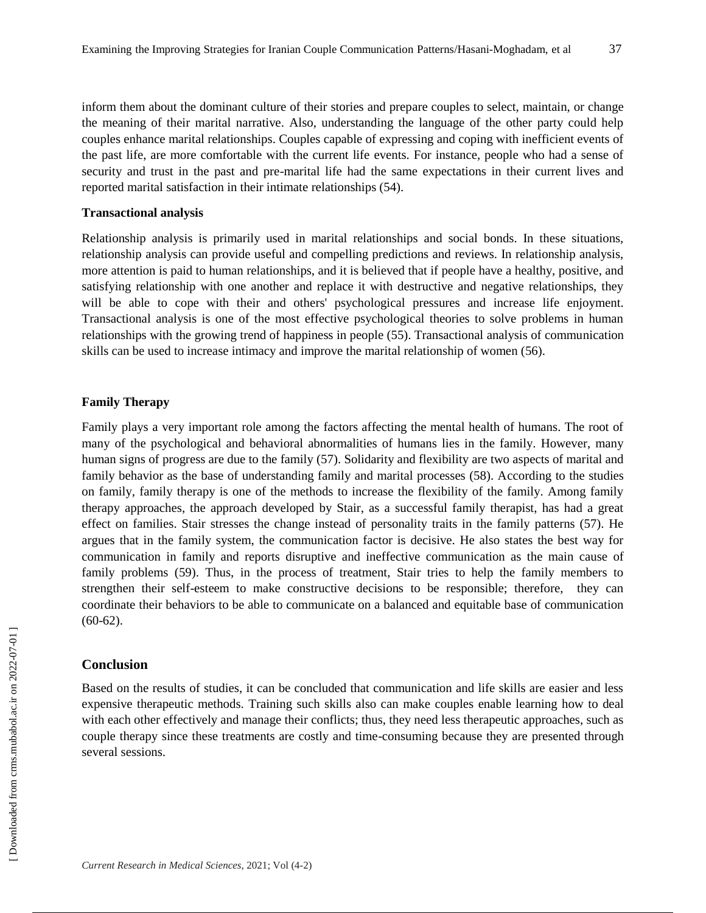inform them about the dominant culture of their stories and prepare couples to select, maintain, or change the meaning of their marital narrative. Also, understanding the language of the other party could help couples enhance marital relationships. Couples capable of expressing and coping with inefficient events of the past life, are more comfortable with the current life events. For instance, people who had a sense of security and trust in the past and pre-marital life had the same expectations in their current lives and reported marital satisfaction in their intimate relationships (54).

#### **Transactional analysis**

Relationship analysis is primarily used in marital relationships and social bonds. In these situations, relationship analysis can provide useful and compelling predictions and reviews. In relationship analysis, more attention is paid to human relationships, and it is believed that if people have a healthy, positive, and satisfying relationship with one another and replace it with destructive and negative relationships, they will be able to cope with their and others' psychological pressures and increase life enjoyment. Transactional analysis is one of the most effective psychological theories to solve problems in human relationships with the growing trend of happiness in people (55). Transactional analysis of communication skills can be used to increase intimacy and improve the marital relationship of women (56).

## **Family Therapy**

Family plays a very important role among the factors affecting the mental health of humans. The root of many of the psychological and behavioral abnormalities of humans lies in the family. However, many human signs of progress are due to the family (57). Solidarity and flexibility are two aspects of marital and family behavior as the base of understanding family and marital processes (58). According to the studies on family, family therapy is one of the methods to increase the flexibility of the family. Among family therapy approaches, the approach developed by Stair, as a successful family therapist, has had a great effect on families. Stair stresses the change instead of personality traits in the family patterns (57). He argues that in the family system, the communication factor is decisive. He also states the best way for communication in family and reports disruptive and ineffective communication as the main cause of family problems (59). Thus, in the process of treatment, Stair tries to help the family members to strengthen their self-esteem to make constructive decisions to be responsible; therefore, they can coordinate their behaviors to be able to communicate on a balanced and equitable base of communication  $(60-62)$ .

## **Conclusion**

Based on the results of studies, it can be concluded that communication and life skills are easier and less expensive therapeutic methods. Training such skills also can make couples enable learning how to deal with each other effectively and manage their conflicts; thus, they need less therapeutic approaches, such as couple therapy since these treatments are costly and time-consuming because they are presented through several sessions.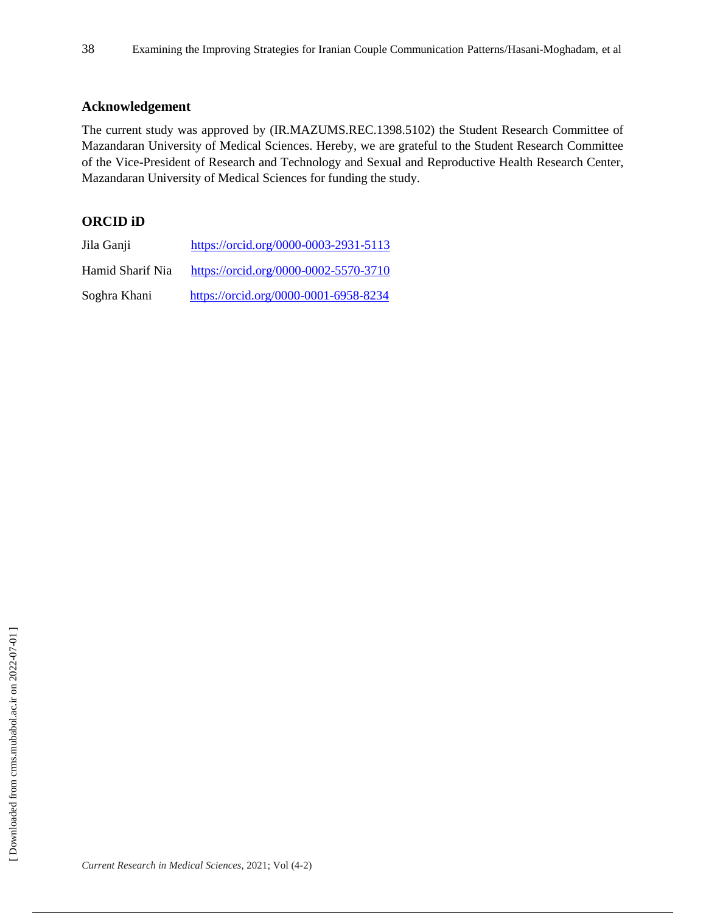## **Acknowledgement**

The current study was approved by (IR.MAZUMS.REC.1398.5102) the Student Research Committee of Mazandaran University of Medical Sciences. Hereby, we are grateful to the Student Research Committee of the Vice-President of Research and Technology and Sexual and Reproductive Health Research Center, Mazandaran University of Medical Sciences for funding the study.

## **ORCID iD**

| Jila Ganji       | https://orcid.org/0000-0003-2931-5113 |
|------------------|---------------------------------------|
| Hamid Sharif Nia | https://orcid.org/0000-0002-5570-3710 |
| Soghra Khani     | https://orcid.org/0000-0001-6958-8234 |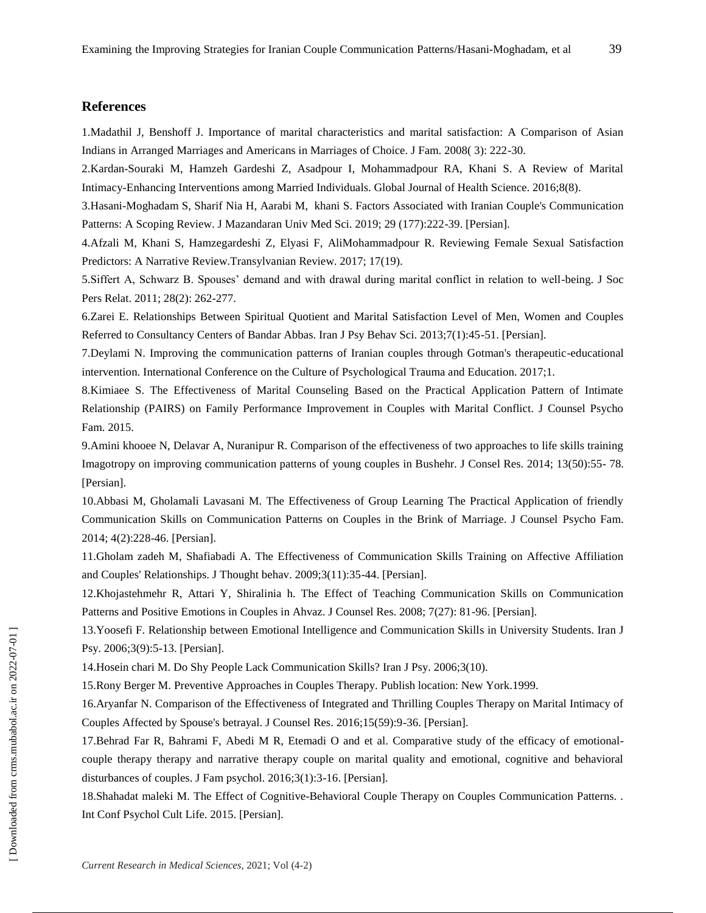#### **References**

1.Madathil J, Benshoff J. Importance of marital characteristics and marital satisfaction: A Comparison of Asian Indians in Arranged Marriages and Americans in Marriages of Choice. J Fam. 2008( 3): 222-30.

2.Kardan-Souraki M, Hamzeh Gardeshi Z, Asadpour I, Mohammadpour RA, Khani S. A Review of Marital Intimacy-Enhancing Interventions among Married Individuals. Global Journal of Health Science. 2016;8(8).

3.Hasani-Moghadam S, Sharif Nia H, Aarabi M, khani S. Factors Associated with Iranian Couple's Communication Patterns: A Scoping Review. J Mazandaran Univ Med Sci. 2019; 29 (177):222-39. [Persian].

4.Afzali M, Khani S, Hamzegardeshi Z, Elyasi F, AliMohammadpour R. Reviewing Female Sexual Satisfaction Predictors: A Narrative Review.Transylvanian Review. 2017; 17(19).

5.Siffert A, Schwarz B. Spouses' demand and with drawal during marital conflict in relation to well-being. J Soc Pers Relat. 2011; 28(2): 262-277.

6.Zarei E. Relationships Between Spiritual Quotient and Marital Satisfaction Level of Men, Women and Couples Referred to Consultancy Centers of Bandar Abbas. Iran J Psy Behav Sci. 2013;7(1):45-51. [Persian].

7.Deylami N. Improving the communication patterns of Iranian couples through Gotman's therapeutic-educational intervention. International Conference on the Culture of Psychological Trauma and Education. 2017;1.

8.Kimiaee S. The Effectiveness of Marital Counseling Based on the Practical Application Pattern of Intimate Relationship (PAIRS) on Family Performance Improvement in Couples with Marital Conflict. J Counsel Psycho Fam. 2015.

9.Amini khooee N, Delavar A, Nuranipur R. Comparison of the effectiveness of two approaches to life skills training Imagotropy on improving communication patterns of young couples in Bushehr. J Consel Res. 2014; 13(50):55- 78. [Persian].

10.Abbasi M, Gholamali Lavasani M. The Effectiveness of Group Learning The Practical Application of friendly Communication Skills on Communication Patterns on Couples in the Brink of Marriage. J Counsel Psycho Fam. 2014; 4(2):228-46. [Persian].

11.Gholam zadeh M, Shafiabadi A. The Effectiveness of Communication Skills Training on Affective Affiliation and Couples' Relationships. J Thought behav. 2009;3(11):35-44. [Persian].

12.Khojastehmehr R, Attari Y, Shiralinia h. The Effect of Teaching Communication Skills on Communication Patterns and Positive Emotions in Couples in Ahvaz. J Counsel Res. 2008; 7(27): 81-96. [Persian].

13.Yoosefi F. Relationship between Emotional Intelligence and Communication Skills in University Students. Iran J Psy. 2006;3(9):5-13. [Persian].

14.Hosein chari M. Do Shy People Lack Communication Skills? Iran J Psy. 2006;3(10).

15.Rony Berger M. Preventive Approaches in Couples Therapy. Publish location: New York.1999.

16.Aryanfar N. Comparison of the Effectiveness of Integrated and Thrilling Couples Therapy on Marital Intimacy of Couples Affected by Spouse's betrayal. J Counsel Res. 2016;15(59):9-36. [Persian].

17.Behrad Far R, Bahrami F, Abedi M R, Etemadi O and et al. Comparative study of the efficacy of emotionalcouple therapy therapy and narrative therapy couple on marital quality and emotional, cognitive and behavioral disturbances of couples. J Fam psychol. 2016;3(1):3-16. [Persian].

18.Shahadat maleki M. The Effect of Cognitive-Behavioral Couple Therapy on Couples Communication Patterns. . Int Conf Psychol Cult Life. 2015. [Persian].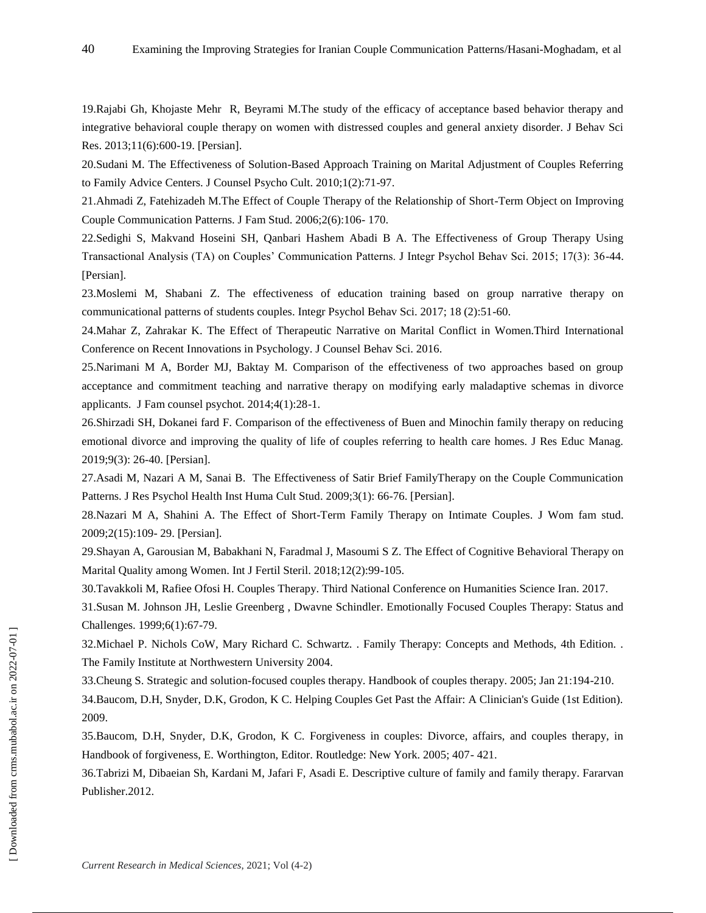19.Rajabi Gh, Khojaste Mehr R, Beyrami M.The study of the efficacy of acceptance based behavior therapy and integrative behavioral couple therapy on women with distressed couples and general anxiety disorder. J Behav Sci Res. 2013;11(6):600-19. [Persian].

20.Sudani M. The Effectiveness of Solution-Based Approach Training on Marital Adjustment of Couples Referring to Family Advice Centers. J Counsel Psycho Cult. 2010;1(2):71-97.

21.Ahmadi Z, Fatehizadeh M.The Effect of Couple Therapy of the Relationship of Short-Term Object on Improving Couple Communication Patterns. J Fam Stud. 2006;2(6):106- 170.

22.Sedighi S, Makvand Hoseini SH, Qanbari Hashem Abadi B A. The Effectiveness of Group Therapy Using Transactional Analysis (TA) on Couples' Communication Patterns. J Integr Psychol Behav Sci. 2015; 17(3): 36-44. [Persian].

23.Moslemi M, Shabani Z. The effectiveness of education training based on group narrative therapy on communicational patterns of students couples. Integr Psychol Behav Sci. 2017; 18 (2):51-60.

24.Mahar Z, Zahrakar K. The Effect of Therapeutic Narrative on Marital Conflict in Women.Third International Conference on Recent Innovations in Psychology. J Counsel Behav Sci. 2016.

25.Narimani M A, Border MJ, Baktay M. Comparison of the effectiveness of two approaches based on group acceptance and commitment teaching and narrative therapy on modifying early maladaptive schemas in divorce applicants. J Fam counsel psychot. 2014;4(1):28-1.

26.Shirzadi SH, Dokanei fard F. Comparison of the effectiveness of Buen and Minochin family therapy on reducing emotional divorce and improving the quality of life of couples referring to health care homes. J Res Educ Manag. 2019;9(3): 26-40. [Persian].

27.Asadi M, Nazari A M, Sanai B. The Effectiveness of Satir Brief FamilyTherapy on the Couple Communication Patterns. J Res Psychol Health Inst Huma Cult Stud. 2009;3(1): 66-76. [Persian].

28.Nazari M A, Shahini A. The Effect of Short-Term Family Therapy on Intimate Couples. J Wom fam stud. 2009;2(15):109- 29. [Persian].

29.Shayan A, Garousian M, Babakhani N, Faradmal J, Masoumi S Z. The Effect of Cognitive Behavioral Therapy on Marital Quality among Women. Int J Fertil Steril. 2018;12(2):99-105.

30.Tavakkoli M, Rafiee Ofosi H. Couples Therapy. Third National Conference on Humanities Science Iran. 2017.

31.Susan M. Johnson JH, Leslie Greenberg , Dwavne Schindler. Emotionally Focused Couples Therapy: Status and Challenges. 1999;6(1):67-79.

32.Michael P. Nichols CoW, Mary Richard C. Schwartz. . Family Therapy: Concepts and Methods, 4th Edition. . The Family Institute at Northwestern University 2004.

33.Cheung S. Strategic and solution-focused couples therapy. Handbook of couples therapy. 2005; Jan 21:194-210.

34.Baucom, D.H, Snyder, D.K, Grodon, K C. Helping Couples Get Past the Affair: A Clinician's Guide (1st Edition). 2009.

35.Baucom, D.H, Snyder, D.K, Grodon, K C. Forgiveness in couples: Divorce, affairs, and couples therapy, in Handbook of forgiveness, E. Worthington, Editor. Routledge: New York. 2005; 407- 421.

36.Tabrizi M, Dibaeian Sh, Kardani M, Jafari F, Asadi E. Descriptive culture of family and family therapy. Fararvan Publisher.2012.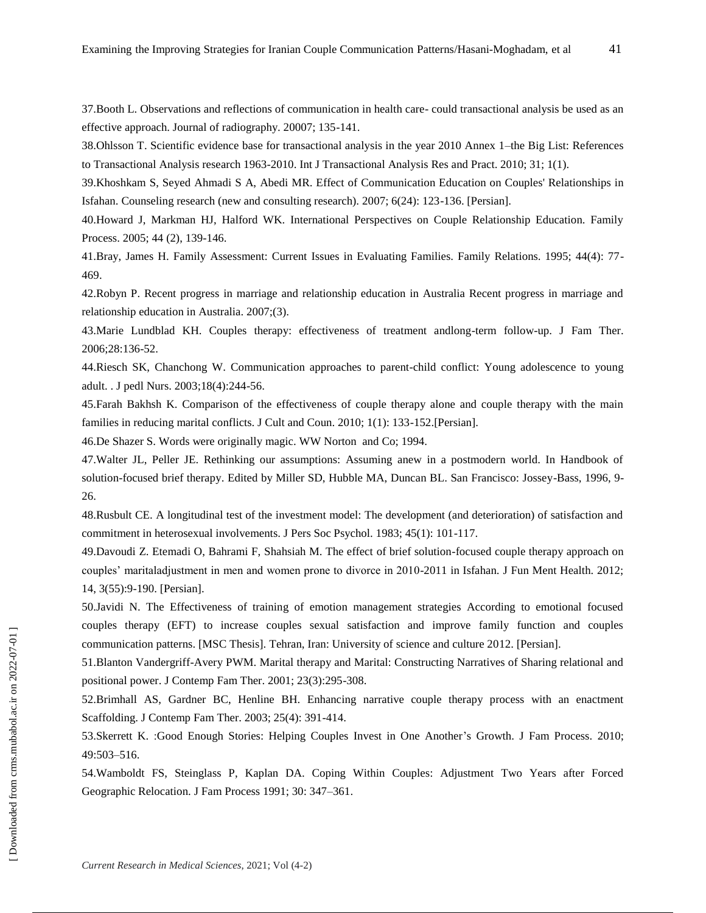37.Booth L. Observations and reflections of communication in health care- could transactional analysis be used as an effective approach. Journal of radiography. 20007; 135-141.

38.Ohlsson T. Scientific evidence base for transactional analysis in the year 2010 Annex 1–the Big List: References to Transactional Analysis research 1963-2010. Int J Transactional Analysis Res and Pract. 2010; 31; 1(1).

39.Khoshkam S, Seyed Ahmadi S A, Abedi MR. Effect of Communication Education on Couples' Relationships in Isfahan. Counseling research (new and consulting research). 2007; 6(24): 123-136. [Persian].

40.Howard J, Markman HJ, Halford WK. International Perspectives on Couple Relationship Education. Family Process. 2005; 44 (2), 139-146.

41.Bray, James H. Family Assessment: Current Issues in Evaluating Families. Family Relations. 1995; 44(4): 77- 469.

42.Robyn P. Recent progress in marriage and relationship education in Australia Recent progress in marriage and relationship education in Australia. 2007;(3).

43.Marie Lundblad KH. Couples therapy: effectiveness of treatment andlong-term follow-up. J Fam Ther. 2006;28:136-52.

44.Riesch SK, Chanchong W. Communication approaches to parent-child conflict: Young adolescence to young adult. . J pedl Nurs. 2003;18(4):244-56.

45.Farah Bakhsh K. Comparison of the effectiveness of couple therapy alone and couple therapy with the main families in reducing marital conflicts. J Cult and Coun. 2010; 1(1): 133-152.[Persian].

46.De Shazer S. Words were originally magic. WW Norton and Co; 1994.

47.Walter JL, Peller JE. Rethinking our assumptions: Assuming anew in a postmodern world. In Handbook of solution-focused brief therapy. Edited by Miller SD, Hubble MA, Duncan BL. San Francisco: Jossey-Bass, 1996, 9- 26.

48.Rusbult CE. A longitudinal test of the investment model: The development (and deterioration) of satisfaction and commitment in heterosexual involvements. J Pers Soc Psychol. 1983; 45(1): 101-117.

49.Davoudi Z. Etemadi O, Bahrami F, Shahsiah M. The effect of brief solution-focused couple therapy approach on couples' maritaladjustment in men and women prone to divorce in 2010-2011 in Isfahan. J Fun Ment Health. 2012; 14, 3(55):9-190. [Persian].

50.Javidi N. The Effectiveness of training of emotion management strategies According to emotional focused couples therapy (EFT) to increase couples sexual satisfaction and improve family function and couples communication patterns. [MSC Thesis]. Tehran, Iran: University of science and culture 2012. [Persian].

51.Blanton Vandergriff-Avery PWM. Marital therapy and Marital: Constructing Narratives of Sharing relational and positional power. J Contemp Fam Ther. 2001; 23(3):295-308.

52.Brimhall AS, Gardner BC, Henline BH. Enhancing narrative couple therapy process with an enactment Scaffolding. J Contemp Fam Ther. 2003; 25(4): 391-414.

53.Skerrett K. :Good Enough Stories: Helping Couples Invest in One Another's Growth. J Fam Process. 2010; 49:503–516.

54.Wamboldt FS, Steinglass P, Kaplan DA. Coping Within Couples: Adjustment Two Years after Forced Geographic Relocation. J Fam Process 1991; 30: 347–361.